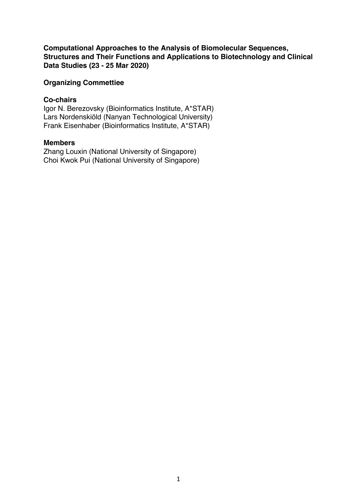**Computational Approaches to the Analysis of Biomolecular Sequences, Structures and Their Functions and Applications to Biotechnology and Clinical Data Studies (23 - 25 Mar 2020)**

## **Organizing Commettiee**

### **Co-chairs**

Igor N. Berezovsky (Bioinformatics Institute, A\*STAR) Lars Nordenskiöld (Nanyan Technological University) Frank Eisenhaber (Bioinformatics Institute, A\*STAR)

# **Members**

Zhang Louxin (National University of Singapore) Choi Kwok Pui (National University of Singapore)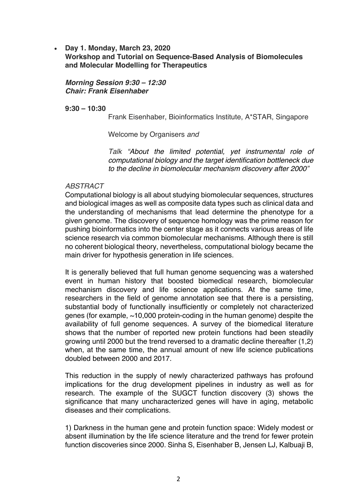• **Day 1. Monday, March 23, 2020**

**Workshop and Tutorial on Sequence-Based Analysis of Biomolecules and Molecular Modelling for Therapeutics**

*Morning Session 9:30 – 12:30 Chair: Frank Eisenhaber*

**9:30 – 10:30**

Frank Eisenhaber, Bioinformatics Institute, A\*STAR, Singapore

Welcome by Organisers *and* 

*Talk "About the limited potential, yet instrumental role of computational biology and the target identification bottleneck due to the decline in biomolecular mechanism discovery after 2000"* 

### *ABSTRACT*

Computational biology is all about studying biomolecular sequences, structures and biological images as well as composite data types such as clinical data and the understanding of mechanisms that lead determine the phenotype for a given genome. The discovery of sequence homology was the prime reason for pushing bioinformatics into the center stage as it connects various areas of life science research via common biomolecular mechanisms. Although there is still no coherent biological theory, nevertheless, computational biology became the main driver for hypothesis generation in life sciences.

It is generally believed that full human genome sequencing was a watershed event in human history that boosted biomedical research, biomolecular mechanism discovery and life science applications. At the same time, researchers in the field of genome annotation see that there is a persisting, substantial body of functionally insufficiently or completely not characterized genes (for example, ~10,000 protein-coding in the human genome) despite the availability of full genome sequences. A survey of the biomedical literature shows that the number of reported new protein functions had been steadily growing until 2000 but the trend reversed to a dramatic decline thereafter (1,2) when, at the same time, the annual amount of new life science publications doubled between 2000 and 2017.

This reduction in the supply of newly characterized pathways has profound implications for the drug development pipelines in industry as well as for research. The example of the SUGCT function discovery (3) shows the significance that many uncharacterized genes will have in aging, metabolic diseases and their complications.

1) Darkness in the human gene and protein function space: Widely modest or absent illumination by the life science literature and the trend for fewer protein function discoveries since 2000. Sinha S, Eisenhaber B, Jensen LJ, Kalbuaji B,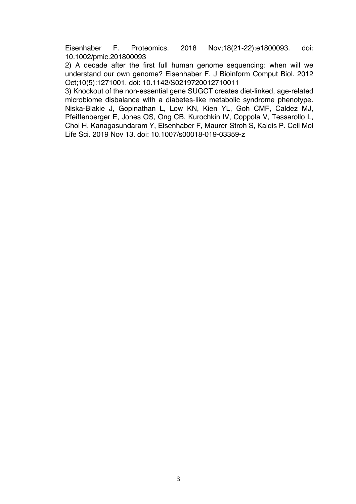Eisenhaber F. Proteomics. 2018 Nov;18(21-22):e1800093. doi: 10.1002/pmic.201800093

2) A decade after the first full human genome sequencing: when will we understand our own genome? Eisenhaber F. J Bioinform Comput Biol. 2012 Oct;10(5):1271001. doi: 10.1142/S0219720012710011

3) Knockout of the non-essential gene SUGCT creates diet-linked, age-related microbiome disbalance with a diabetes-like metabolic syndrome phenotype. Niska-Blakie J, Gopinathan L, Low KN, Kien YL, Goh CMF, Caldez MJ, Pfeiffenberger E, Jones OS, Ong CB, Kurochkin IV, Coppola V, Tessarollo L, Choi H, Kanagasundaram Y, Eisenhaber F, Maurer-Stroh S, Kaldis P. Cell Mol Life Sci. 2019 Nov 13. doi: 10.1007/s00018-019-03359-z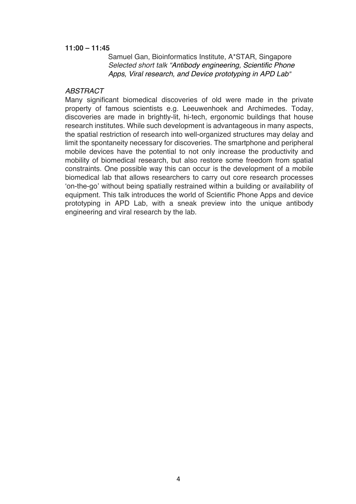### **11:00 – 11:45**

Samuel Gan, Bioinformatics Institute, A\*STAR, Singapore *Selected short talk "Antibody engineering, Scientific Phone Apps, Viral research, and Device prototyping in APD Lab"*

## *ABSTRACT*

Many significant biomedical discoveries of old were made in the private property of famous scientists e.g. Leeuwenhoek and Archimedes. Today, discoveries are made in brightly-lit, hi-tech, ergonomic buildings that house research institutes. While such development is advantageous in many aspects, the spatial restriction of research into well-organized structures may delay and limit the spontaneity necessary for discoveries. The smartphone and peripheral mobile devices have the potential to not only increase the productivity and mobility of biomedical research, but also restore some freedom from spatial constraints. One possible way this can occur is the development of a mobile biomedical lab that allows researchers to carry out core research processes 'on-the-go' without being spatially restrained within a building or availability of equipment. This talk introduces the world of Scientific Phone Apps and device prototyping in APD Lab, with a sneak preview into the unique antibody engineering and viral research by the lab.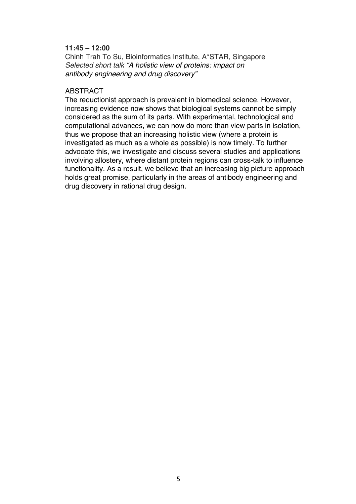## **11:45 – 12:00**

Chinh Trah To Su, Bioinformatics Institute, A\*STAR, Singapore *Selected short talk "A holistic view of proteins: impact on antibody engineering and drug discovery"*

## ABSTRACT

The reductionist approach is prevalent in biomedical science. However, increasing evidence now shows that biological systems cannot be simply considered as the sum of its parts. With experimental, technological and computational advances, we can now do more than view parts in isolation, thus we propose that an increasing holistic view (where a protein is investigated as much as a whole as possible) is now timely. To further advocate this, we investigate and discuss several studies and applications involving allostery, where distant protein regions can cross-talk to influence functionality. As a result, we believe that an increasing big picture approach holds great promise, particularly in the areas of antibody engineering and drug discovery in rational drug design.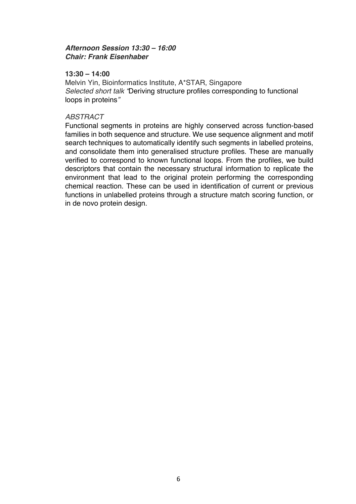# *Afternoon Session 13:30 – 16:00 Chair: Frank Eisenhaber*

### **13:30 – 14:00**

Melvin Yin, Bioinformatics Institute, A\*STAR, Singapore *Selected short talk "*Deriving structure profiles corresponding to functional loops in proteins*"*

## *ABSTRACT*

Functional segments in proteins are highly conserved across function-based families in both sequence and structure. We use sequence alignment and motif search techniques to automatically identify such segments in labelled proteins, and consolidate them into generalised structure profiles. These are manually verified to correspond to known functional loops. From the profiles, we build descriptors that contain the necessary structural information to replicate the environment that lead to the original protein performing the corresponding chemical reaction. These can be used in identification of current or previous functions in unlabelled proteins through a structure match scoring function, or in de novo protein design.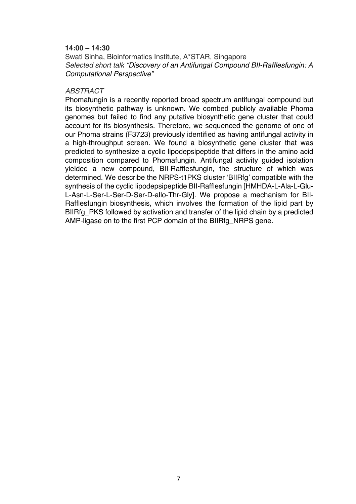### **14:00 – 14:30**

Swati Sinha, Bioinformatics Institute, A\*STAR, Singapore *Selected short talk "Discovery of an Antifungal Compound BII-Rafflesfungin: A Computational Perspective"*

#### *ABSTRACT*

Phomafungin is a recently reported broad spectrum antifungal compound but its biosynthetic pathway is unknown. We combed publicly available Phoma genomes but failed to find any putative biosynthetic gene cluster that could account for its biosynthesis. Therefore, we sequenced the genome of one of our Phoma strains (F3723) previously identified as having antifungal activity in a high-throughput screen. We found a biosynthetic gene cluster that was predicted to synthesize a cyclic lipodepsipeptide that differs in the amino acid composition compared to Phomafungin. Antifungal activity guided isolation yielded a new compound, BII-Rafflesfungin, the structure of which was determined. We describe the NRPS-t1PKS cluster 'BIIRfg' compatible with the synthesis of the cyclic lipodepsipeptide BII-Rafflesfungin [HMHDA-L-Ala-L-Glu-L-Asn-L-Ser-L-Ser-D-Ser-D-allo-Thr-Gly]. We propose a mechanism for BII-Rafflesfungin biosynthesis, which involves the formation of the lipid part by BIIRfg\_PKS followed by activation and transfer of the lipid chain by a predicted AMP-ligase on to the first PCP domain of the BIIRfg\_NRPS gene.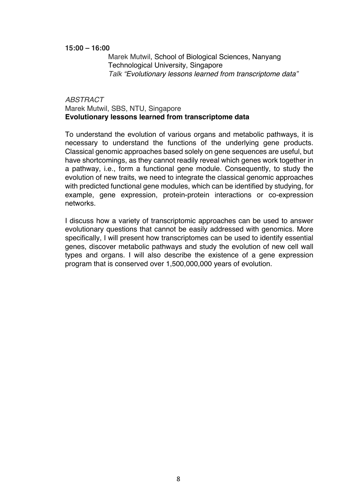### **15:00 – 16:00**

Marek Mutwil, School of Biological Sciences, Nanyang Technological University, Singapore *Talk "Evolutionary lessons learned from transcriptome data"*

### *ABSTRACT* Marek Mutwil, SBS, NTU, Singapore **Evolutionary lessons learned from transcriptome data**

To understand the evolution of various organs and metabolic pathways, it is necessary to understand the functions of the underlying gene products. Classical genomic approaches based solely on gene sequences are useful, but have shortcomings, as they cannot readily reveal which genes work together in a pathway, i.e., form a functional gene module. Consequently, to study the evolution of new traits, we need to integrate the classical genomic approaches with predicted functional gene modules, which can be identified by studying, for example, gene expression, protein-protein interactions or co-expression networks.

I discuss how a variety of transcriptomic approaches can be used to answer evolutionary questions that cannot be easily addressed with genomics. More specifically, I will present how transcriptomes can be used to identify essential genes, discover metabolic pathways and study the evolution of new cell wall types and organs. I will also describe the existence of a gene expression program that is conserved over 1,500,000,000 years of evolution.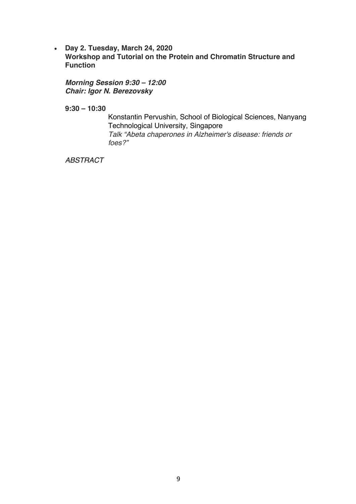• **Day 2. Tuesday, March 24, 2020 Workshop and Tutorial on the Protein and Chromatin Structure and Function**

*Morning Session 9:30 – 12:00 Chair: Igor N. Berezovsky*

**9:30 – 10:30**

Konstantin Pervushin, School of Biological Sciences, Nanyang Technological University, Singapore *Talk "Abeta chaperones in Alzheimer's disease: friends or foes?"*

*ABSTRACT*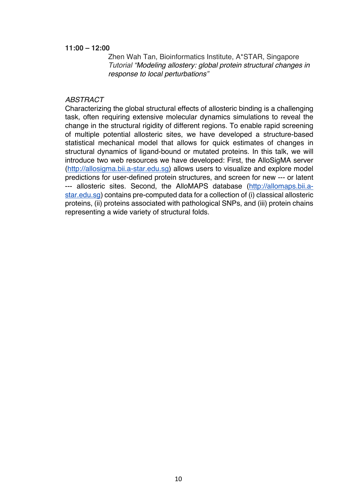### **11:00 – 12:00**

Zhen Wah Tan, Bioinformatics Institute, A\*STAR, Singapore *Tutorial "Modeling allostery: global protein structural changes in response to local perturbations"*

#### *ABSTRACT*

Characterizing the global structural effects of allosteric binding is a challenging task, often requiring extensive molecular dynamics simulations to reveal the change in the structural rigidity of different regions. To enable rapid screening of multiple potential allosteric sites, we have developed a structure-based statistical mechanical model that allows for quick estimates of changes in structural dynamics of ligand-bound or mutated proteins. In this talk, we will introduce two web resources we have developed: First, the AlloSigMA server (http://allosigma.bii.a-star.edu.sg) allows users to visualize and explore model predictions for user-defined protein structures, and screen for new --- or latent --- allosteric sites. Second, the AlloMAPS database (http://allomaps.bii.astar.edu.sg) contains pre-computed data for a collection of (i) classical allosteric proteins, (ii) proteins associated with pathological SNPs, and (iii) protein chains representing a wide variety of structural folds.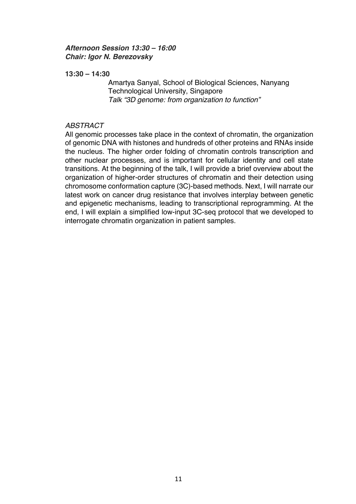# *Afternoon Session 13:30 – 16:00 Chair: Igor N. Berezovsky*

### **13:30 – 14:30**

Amartya Sanyal, School of Biological Sciences, Nanyang Technological University, Singapore *Talk "3D genome: from organization to function"*

## *ABSTRACT*

All genomic processes take place in the context of chromatin, the organization of genomic DNA with histones and hundreds of other proteins and RNAs inside the nucleus. The higher order folding of chromatin controls transcription and other nuclear processes, and is important for cellular identity and cell state transitions. At the beginning of the talk, I will provide a brief overview about the organization of higher-order structures of chromatin and their detection using chromosome conformation capture (3C)-based methods. Next, I will narrate our latest work on cancer drug resistance that involves interplay between genetic and epigenetic mechanisms, leading to transcriptional reprogramming. At the end, I will explain a simplified low-input 3C-seq protocol that we developed to interrogate chromatin organization in patient samples.